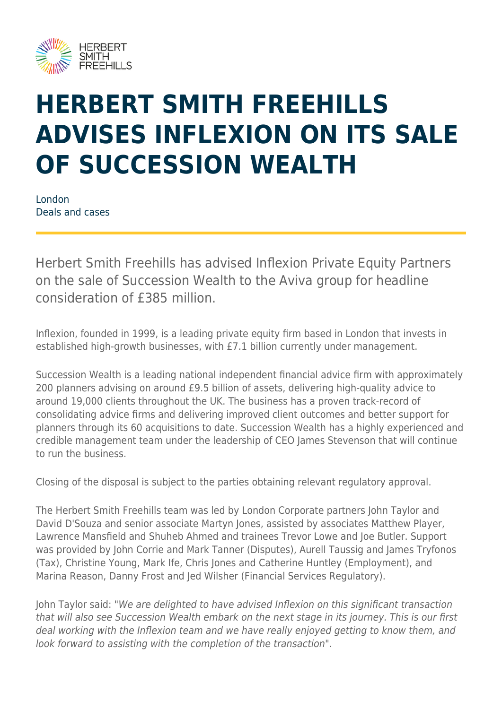

## **HERBERT SMITH FREEHILLS ADVISES INFLEXION ON ITS SALE OF SUCCESSION WEALTH**

London Deals and cases

Herbert Smith Freehills has advised Inflexion Private Equity Partners on the sale of Succession Wealth to the Aviva group for headline consideration of £385 million.

Inflexion, founded in 1999, is a leading private equity firm based in London that invests in established high-growth businesses, with £7.1 billion currently under management.

Succession Wealth is a leading national independent financial advice firm with approximately 200 planners advising on around £9.5 billion of assets, delivering high-quality advice to around 19,000 clients throughout the UK. The business has a proven track-record of consolidating advice firms and delivering improved client outcomes and better support for planners through its 60 acquisitions to date. Succession Wealth has a highly experienced and credible management team under the leadership of CEO James Stevenson that will continue to run the business.

Closing of the disposal is subject to the parties obtaining relevant regulatory approval.

The Herbert Smith Freehills team was led by London Corporate partners John Taylor and David D'Souza and senior associate Martyn Jones, assisted by associates Matthew Player, Lawrence Mansfield and Shuheb Ahmed and trainees Trevor Lowe and Joe Butler. Support was provided by John Corrie and Mark Tanner (Disputes), Aurell Taussig and James Tryfonos (Tax), Christine Young, Mark Ife, Chris Jones and Catherine Huntley (Employment), and Marina Reason, Danny Frost and Jed Wilsher (Financial Services Regulatory).

John Taylor said: "We are delighted to have advised Inflexion on this significant transaction that will also see Succession Wealth embark on the next stage in its journey. This is our first deal working with the Inflexion team and we have really enjoyed getting to know them, and look forward to assisting with the completion of the transaction".